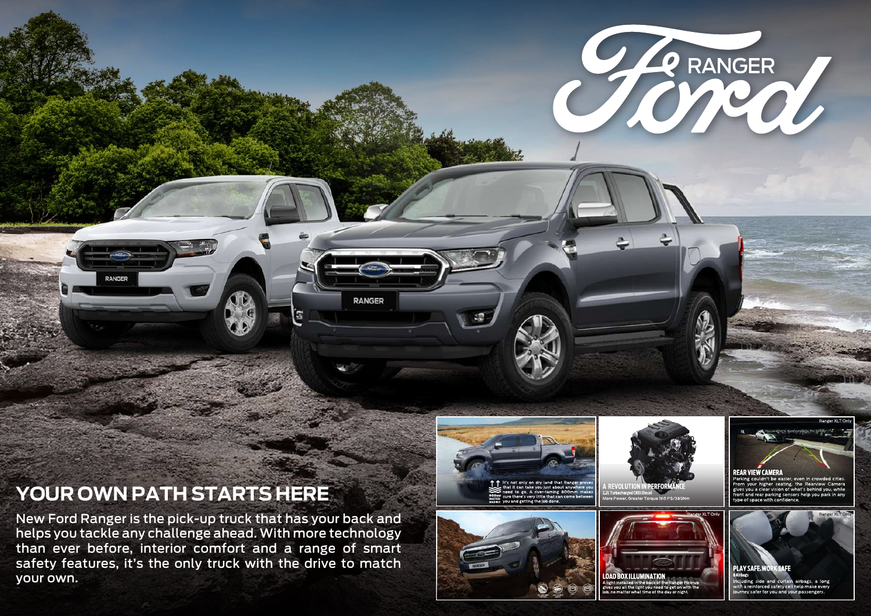## **YOUR OWN PATH STARTS HERE**

**DANGED** 

New Ford Ranger is the pick-up truck that has your back and helps you tackle any challenge ahead. With more technology than ever before, interior comfort and a range of smart safety features, it's the only truck with the drive to match your own.



**RANGER** 

6



CERANGER





From your higher sealing, the Rearview Camera<br>gives you a clear vision of what's behind you, while ives you a clear vision or what's bening you, while<br>ront and rear parking sensors help you park in any type of space with confidence